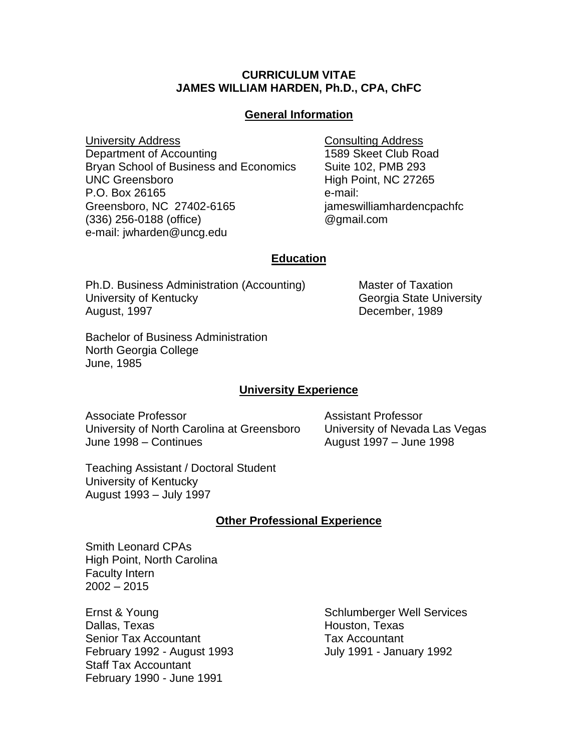## **CURRICULUM VITAE JAMES WILLIAM HARDEN, Ph.D., CPA, ChFC**

## **General Information**

**University Address Consulting Address** Department of Accounting 1589 Skeet Club Road Bryan School of Business and Economics Suite 102, PMB 293 UNC Greensboro **High Point, NC 27265** P.O. Box 26165 e-mail: Greensboro, NC 27402-6165 jameswilliamhardencpachfc (336) 256-0188 (office) @gmail.com e-mail: jwharden@uncg.edu

## **Education**

Ph.D. Business Administration (Accounting) Master of Taxation University of Kentucky Christian Control of Georgia State University August, 1997 December, 1989

Bachelor of Business Administration North Georgia College June, 1985

## **University Experience**

Associate Professor Assistant Professor University of North Carolina at Greensboro University of Nevada Las Vegas June 1998 – Continues **August 1997** – June 1998

Teaching Assistant / Doctoral Student University of Kentucky August 1993 – July 1997

# **Other Professional Experience**

Smith Leonard CPAs High Point, North Carolina Faculty Intern 2002 – 2015

Ernst & Young Schlumberger Well Services Dallas, Texas **Houston, Texas** Houston, Texas Senior Tax Accountant Tax Accountant February 1992 - August 1993 **July 1991 - January 1992** Staff Tax Accountant February 1990 - June 1991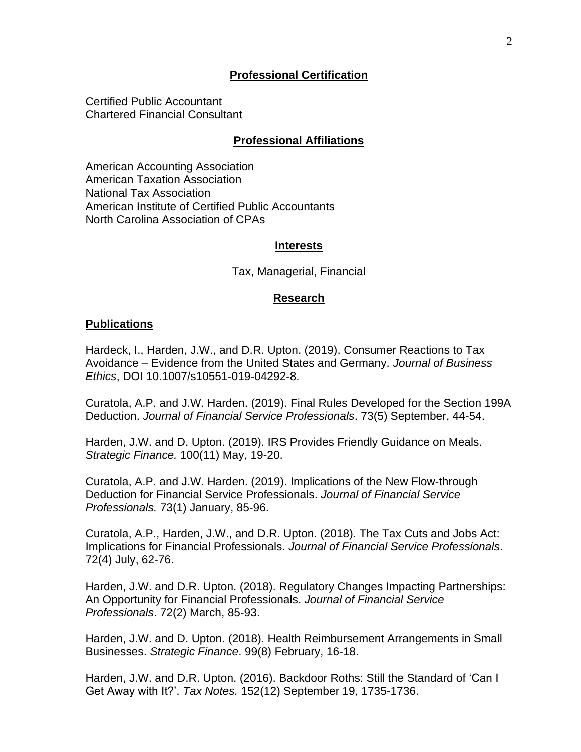## **Professional Certification**

Certified Public Accountant Chartered Financial Consultant

## **Professional Affiliations**

American Accounting Association American Taxation Association National Tax Association American Institute of Certified Public Accountants North Carolina Association of CPAs

### **Interests**

Tax, Managerial, Financial

### **Research**

#### **Publications**

Hardeck, I., Harden, J.W., and D.R. Upton. (2019). Consumer Reactions to Tax Avoidance – Evidence from the United States and Germany. *Journal of Business Ethics*, DOI 10.1007/s10551-019-04292-8.

Curatola, A.P. and J.W. Harden. (2019). Final Rules Developed for the Section 199A Deduction. *Journal of Financial Service Professionals*. 73(5) September, 44-54.

Harden, J.W. and D. Upton. (2019). IRS Provides Friendly Guidance on Meals. *Strategic Finance.* 100(11) May, 19-20.

Curatola, A.P. and J.W. Harden. (2019). Implications of the New Flow-through Deduction for Financial Service Professionals. *Journal of Financial Service Professionals.* 73(1) January, 85-96.

Curatola, A.P., Harden, J.W., and D.R. Upton. (2018). The Tax Cuts and Jobs Act: Implications for Financial Professionals. *Journal of Financial Service Professionals*. 72(4) July, 62-76.

Harden, J.W. and D.R. Upton. (2018). Regulatory Changes Impacting Partnerships: An Opportunity for Financial Professionals. *Journal of Financial Service Professionals*. 72(2) March, 85-93.

Harden, J.W. and D. Upton. (2018). Health Reimbursement Arrangements in Small Businesses. *Strategic Finance*. 99(8) February, 16-18.

Harden, J.W. and D.R. Upton. (2016). Backdoor Roths: Still the Standard of 'Can I Get Away with It?'. *Tax Notes.* 152(12) September 19, 1735-1736.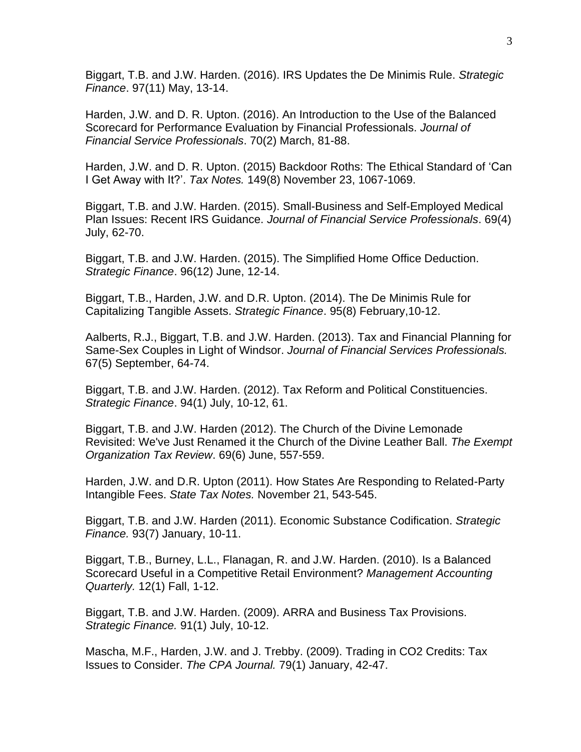Biggart, T.B. and J.W. Harden. (2016). IRS Updates the De Minimis Rule. *Strategic Finance*. 97(11) May, 13-14.

Harden, J.W. and D. R. Upton. (2016). An Introduction to the Use of the Balanced Scorecard for Performance Evaluation by Financial Professionals. *Journal of Financial Service Professionals*. 70(2) March, 81-88.

Harden, J.W. and D. R. Upton. (2015) Backdoor Roths: The Ethical Standard of 'Can I Get Away with It?'. *Tax Notes.* 149(8) November 23, 1067-1069.

Biggart, T.B. and J.W. Harden. (2015). Small-Business and Self-Employed Medical Plan Issues: Recent IRS Guidance. *Journal of Financial Service Professionals*. 69(4) July, 62-70.

Biggart, T.B. and J.W. Harden. (2015). The Simplified Home Office Deduction. *Strategic Finance*. 96(12) June, 12-14.

Biggart, T.B., Harden, J.W. and D.R. Upton. (2014). The De Minimis Rule for Capitalizing Tangible Assets. *Strategic Finance*. 95(8) February,10-12.

Aalberts, R.J., Biggart, T.B. and J.W. Harden. (2013). Tax and Financial Planning for Same-Sex Couples in Light of Windsor. *Journal of Financial Services Professionals.* 67(5) September, 64-74.

Biggart, T.B. and J.W. Harden. (2012). Tax Reform and Political Constituencies. *Strategic Finance*. 94(1) July, 10-12, 61.

Biggart, T.B. and J.W. Harden (2012). The Church of the Divine Lemonade Revisited: We've Just Renamed it the Church of the Divine Leather Ball. *The Exempt Organization Tax Review*. 69(6) June, 557-559.

Harden, J.W. and D.R. Upton (2011). How States Are Responding to Related-Party Intangible Fees. *State Tax Notes.* November 21, 543-545.

Biggart, T.B. and J.W. Harden (2011). Economic Substance Codification. *Strategic Finance.* 93(7) January, 10-11.

Biggart, T.B., Burney, L.L., Flanagan, R. and J.W. Harden. (2010). Is a Balanced Scorecard Useful in a Competitive Retail Environment? *Management Accounting Quarterly.* 12(1) Fall, 1-12.

Biggart, T.B. and J.W. Harden. (2009). ARRA and Business Tax Provisions. *Strategic Finance.* 91(1) July, 10-12.

Mascha, M.F., Harden, J.W. and J. Trebby. (2009). Trading in CO2 Credits: Tax Issues to Consider. *The CPA Journal.* 79(1) January, 42-47.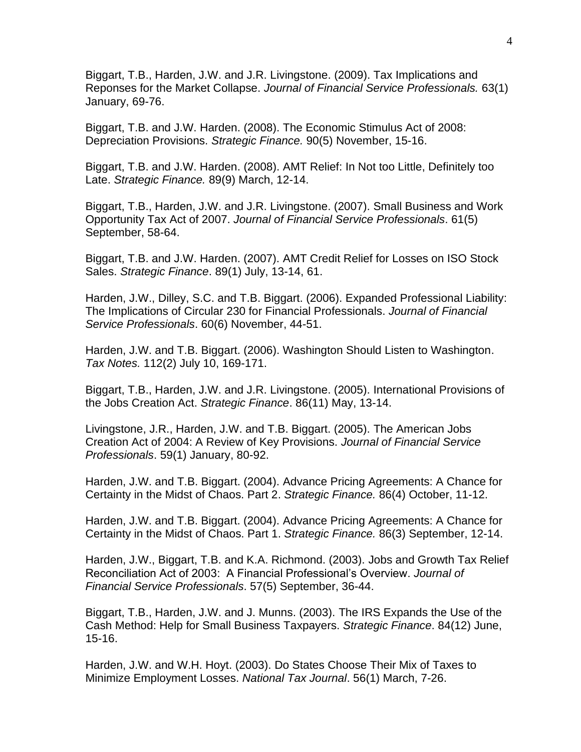Biggart, T.B., Harden, J.W. and J.R. Livingstone. (2009). Tax Implications and Reponses for the Market Collapse. *Journal of Financial Service Professionals.* 63(1) January, 69-76.

Biggart, T.B. and J.W. Harden. (2008). The Economic Stimulus Act of 2008: Depreciation Provisions. *Strategic Finance.* 90(5) November, 15-16.

Biggart, T.B. and J.W. Harden. (2008). AMT Relief: In Not too Little, Definitely too Late. *Strategic Finance.* 89(9) March, 12-14.

Biggart, T.B., Harden, J.W. and J.R. Livingstone. (2007). Small Business and Work Opportunity Tax Act of 2007. *Journal of Financial Service Professionals*. 61(5) September, 58-64.

Biggart, T.B. and J.W. Harden. (2007). AMT Credit Relief for Losses on ISO Stock Sales. *Strategic Finance*. 89(1) July, 13-14, 61.

Harden, J.W., Dilley, S.C. and T.B. Biggart. (2006). Expanded Professional Liability: The Implications of Circular 230 for Financial Professionals. *Journal of Financial Service Professionals*. 60(6) November, 44-51.

Harden, J.W. and T.B. Biggart. (2006). Washington Should Listen to Washington. *Tax Notes.* 112(2) July 10, 169-171.

Biggart, T.B., Harden, J.W. and J.R. Livingstone. (2005). International Provisions of the Jobs Creation Act. *Strategic Finance*. 86(11) May, 13-14.

Livingstone, J.R., Harden, J.W. and T.B. Biggart. (2005). The American Jobs Creation Act of 2004: A Review of Key Provisions. *Journal of Financial Service Professionals*. 59(1) January, 80-92.

Harden, J.W. and T.B. Biggart. (2004). Advance Pricing Agreements: A Chance for Certainty in the Midst of Chaos. Part 2. *Strategic Finance.* 86(4) October, 11-12.

Harden, J.W. and T.B. Biggart. (2004). Advance Pricing Agreements: A Chance for Certainty in the Midst of Chaos. Part 1. *Strategic Finance.* 86(3) September, 12-14.

Harden, J.W., Biggart, T.B. and K.A. Richmond. (2003). Jobs and Growth Tax Relief Reconciliation Act of 2003: A Financial Professional's Overview. *Journal of Financial Service Professionals*. 57(5) September, 36-44.

Biggart, T.B., Harden, J.W. and J. Munns. (2003). The IRS Expands the Use of the Cash Method: Help for Small Business Taxpayers. *Strategic Finance*. 84(12) June, 15-16.

Harden, J.W. and W.H. Hoyt. (2003). Do States Choose Their Mix of Taxes to Minimize Employment Losses. *National Tax Journal*. 56(1) March, 7-26.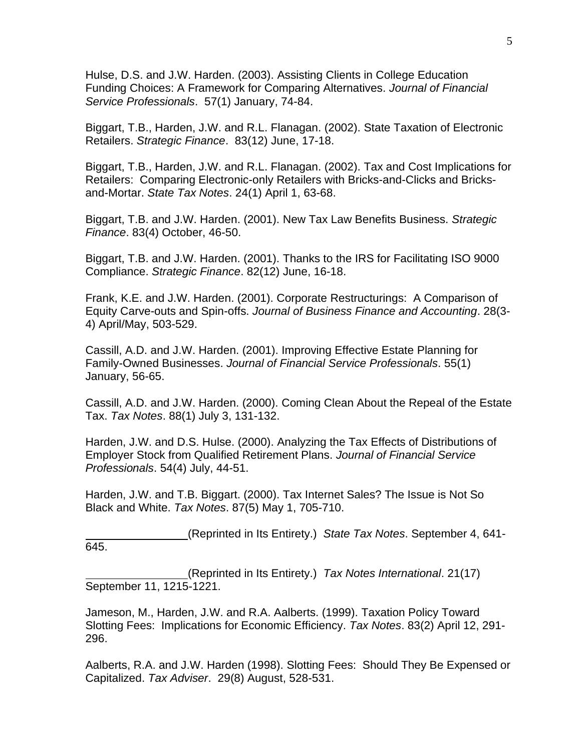Hulse, D.S. and J.W. Harden. (2003). Assisting Clients in College Education Funding Choices: A Framework for Comparing Alternatives. *Journal of Financial Service Professionals*. 57(1) January, 74-84.

Biggart, T.B., Harden, J.W. and R.L. Flanagan. (2002). State Taxation of Electronic Retailers. *Strategic Finance*. 83(12) June, 17-18.

Biggart, T.B., Harden, J.W. and R.L. Flanagan. (2002). Tax and Cost Implications for Retailers: Comparing Electronic-only Retailers with Bricks-and-Clicks and Bricksand-Mortar. *State Tax Notes*. 24(1) April 1, 63-68.

Biggart, T.B. and J.W. Harden. (2001). New Tax Law Benefits Business. *Strategic Finance*. 83(4) October, 46-50.

Biggart, T.B. and J.W. Harden. (2001). Thanks to the IRS for Facilitating ISO 9000 Compliance. *Strategic Finance*. 82(12) June, 16-18.

Frank, K.E. and J.W. Harden. (2001). Corporate Restructurings: A Comparison of Equity Carve-outs and Spin-offs. *Journal of Business Finance and Accounting*. 28(3- 4) April/May, 503-529.

Cassill, A.D. and J.W. Harden. (2001). Improving Effective Estate Planning for Family-Owned Businesses. *Journal of Financial Service Professionals*. 55(1) January, 56-65.

Cassill, A.D. and J.W. Harden. (2000). Coming Clean About the Repeal of the Estate Tax. *Tax Notes*. 88(1) July 3, 131-132.

Harden, J.W. and D.S. Hulse. (2000). Analyzing the Tax Effects of Distributions of Employer Stock from Qualified Retirement Plans. *Journal of Financial Service Professionals*. 54(4) July, 44-51.

Harden, J.W. and T.B. Biggart. (2000). Tax Internet Sales? The Issue is Not So Black and White. *Tax Notes*. 87(5) May 1, 705-710.

 (Reprinted in Its Entirety.) *State Tax Notes*. September 4, 641- 645.

(Reprinted in Its Entirety.) *Tax Notes International*. 21(17) September 11, 1215-1221.

Jameson, M., Harden, J.W. and R.A. Aalberts. (1999). Taxation Policy Toward Slotting Fees: Implications for Economic Efficiency. *Tax Notes*. 83(2) April 12, 291- 296.

Aalberts, R.A. and J.W. Harden (1998). Slotting Fees: Should They Be Expensed or Capitalized. *Tax Adviser*. 29(8) August, 528-531.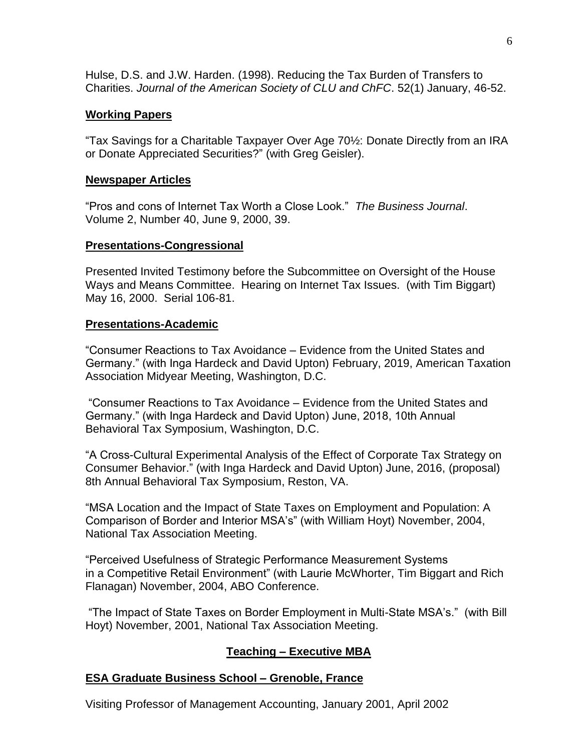Hulse, D.S. and J.W. Harden. (1998). Reducing the Tax Burden of Transfers to Charities. *Journal of the American Society of CLU and ChFC*. 52(1) January, 46-52.

# **Working Papers**

"Tax Savings for a Charitable Taxpayer Over Age 70½: Donate Directly from an IRA or Donate Appreciated Securities?" (with Greg Geisler).

## **Newspaper Articles**

"Pros and cons of Internet Tax Worth a Close Look." *The Business Journal*. Volume 2, Number 40, June 9, 2000, 39.

# **Presentations-Congressional**

Presented Invited Testimony before the Subcommittee on Oversight of the House Ways and Means Committee. Hearing on Internet Tax Issues. (with Tim Biggart) May 16, 2000. Serial 106-81.

## **Presentations-Academic**

"Consumer Reactions to Tax Avoidance – Evidence from the United States and Germany." (with Inga Hardeck and David Upton) February, 2019, American Taxation Association Midyear Meeting, Washington, D.C.

"Consumer Reactions to Tax Avoidance – Evidence from the United States and Germany." (with Inga Hardeck and David Upton) June, 2018, 10th Annual Behavioral Tax Symposium, Washington, D.C.

"A Cross-Cultural Experimental Analysis of the Effect of Corporate Tax Strategy on Consumer Behavior." (with Inga Hardeck and David Upton) June, 2016, (proposal) 8th Annual Behavioral Tax Symposium, Reston, VA.

"MSA Location and the Impact of State Taxes on Employment and Population: A Comparison of Border and Interior MSA's" (with William Hoyt) November, 2004, National Tax Association Meeting.

"Perceived Usefulness of Strategic Performance Measurement Systems in a Competitive Retail Environment" (with Laurie McWhorter, Tim Biggart and Rich Flanagan) November, 2004, ABO Conference.

"The Impact of State Taxes on Border Employment in Multi-State MSA's." (with Bill Hoyt) November, 2001, National Tax Association Meeting.

# **Teaching – Executive MBA**

# **ESA Graduate Business School – Grenoble, France**

Visiting Professor of Management Accounting, January 2001, April 2002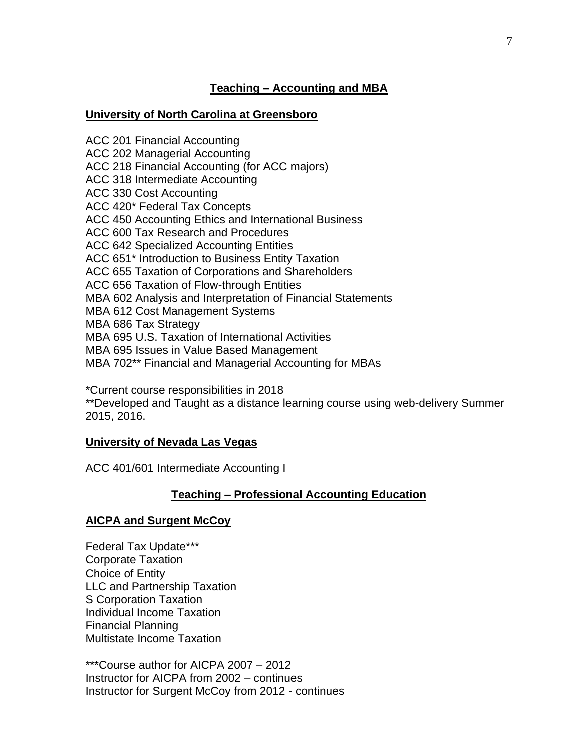# **Teaching – Accounting and MBA**

# **University of North Carolina at Greensboro**

ACC 201 Financial Accounting ACC 202 Managerial Accounting ACC 218 Financial Accounting (for ACC majors) ACC 318 Intermediate Accounting ACC 330 Cost Accounting ACC 420\* Federal Tax Concepts ACC 450 Accounting Ethics and International Business ACC 600 Tax Research and Procedures ACC 642 Specialized Accounting Entities ACC 651\* Introduction to Business Entity Taxation ACC 655 Taxation of Corporations and Shareholders ACC 656 Taxation of Flow-through Entities MBA 602 Analysis and Interpretation of Financial Statements MBA 612 Cost Management Systems MBA 686 Tax Strategy MBA 695 U.S. Taxation of International Activities MBA 695 Issues in Value Based Management MBA 702\*\* Financial and Managerial Accounting for MBAs

\*Current course responsibilities in 2018

\*\*Developed and Taught as a distance learning course using web-delivery Summer 2015, 2016.

## **University of Nevada Las Vegas**

ACC 401/601 Intermediate Accounting I

# **Teaching – Professional Accounting Education**

## **AICPA and Surgent McCoy**

Federal Tax Update\*\*\* Corporate Taxation Choice of Entity LLC and Partnership Taxation S Corporation Taxation Individual Income Taxation Financial Planning Multistate Income Taxation

\*\*\*Course author for AICPA 2007 – 2012 Instructor for AICPA from 2002 – continues Instructor for Surgent McCoy from 2012 - continues